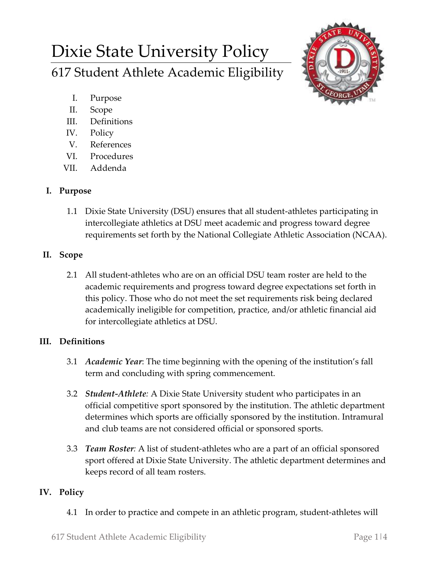# Dixie State University Policy 617 Student Athlete Academic Eligibility



- I. Purpose
- II. Scope
- III. Definitions
- IV. Policy
- V. References
- VI. Procedures
- VII. Addenda

### **I. Purpose**

1.1 Dixie State University (DSU) ensures that all student-athletes participating in intercollegiate athletics at DSU meet academic and progress toward degree requirements set forth by the National Collegiate Athletic Association (NCAA).

## **II. Scope**

2.1 All student-athletes who are on an official DSU team roster are held to the academic requirements and progress toward degree expectations set forth in this policy. Those who do not meet the set requirements risk being declared academically ineligible for competition, practice, and/or athletic financial aid for intercollegiate athletics at DSU.

## **III. Definitions**

- 3.1 *Academic Year*: The time beginning with the opening of the institution's fall term and concluding with spring commencement.
- 3.2 *Student-Athlete:* A Dixie State University student who participates in an official competitive sport sponsored by the institution. The athletic department determines which sports are officially sponsored by the institution. Intramural and club teams are not considered official or sponsored sports.
- 3.3 *Team Roster:* A list of student-athletes who are a part of an official sponsored sport offered at Dixie State University. The athletic department determines and keeps record of all team rosters.

## **IV. Policy**

4.1 In order to practice and compete in an athletic program, student-athletes will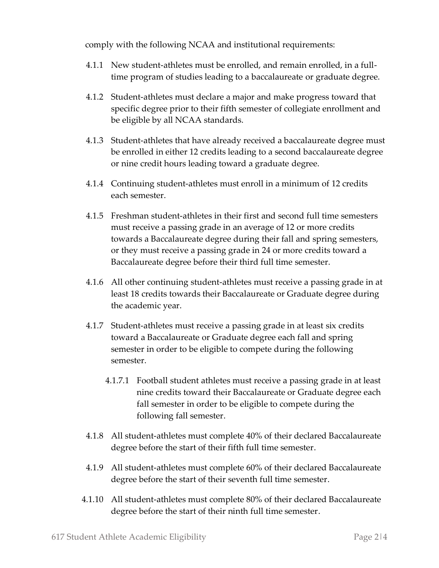comply with the following NCAA and institutional requirements:

- 4.1.1 New student-athletes must be enrolled, and remain enrolled, in a fulltime program of studies leading to a baccalaureate or graduate degree.
- 4.1.2 Student-athletes must declare a major and make progress toward that specific degree prior to their fifth semester of collegiate enrollment and be eligible by all NCAA standards.
- 4.1.3 Student-athletes that have already received a baccalaureate degree must be enrolled in either 12 credits leading to a second baccalaureate degree or nine credit hours leading toward a graduate degree.
- 4.1.4 Continuing student-athletes must enroll in a minimum of 12 credits each semester.
- 4.1.5 Freshman student-athletes in their first and second full time semesters must receive a passing grade in an average of 12 or more credits towards a Baccalaureate degree during their fall and spring semesters, or they must receive a passing grade in 24 or more credits toward a Baccalaureate degree before their third full time semester.
- 4.1.6 All other continuing student-athletes must receive a passing grade in at least 18 credits towards their Baccalaureate or Graduate degree during the academic year.
- 4.1.7 Student-athletes must receive a passing grade in at least six credits toward a Baccalaureate or Graduate degree each fall and spring semester in order to be eligible to compete during the following semester.
	- 4.1.7.1 Football student athletes must receive a passing grade in at least nine credits toward their Baccalaureate or Graduate degree each fall semester in order to be eligible to compete during the following fall semester.
- 4.1.8 All student-athletes must complete 40% of their declared Baccalaureate degree before the start of their fifth full time semester.
- 4.1.9 All student-athletes must complete 60% of their declared Baccalaureate degree before the start of their seventh full time semester.
- 4.1.10 All student-athletes must complete 80% of their declared Baccalaureate degree before the start of their ninth full time semester.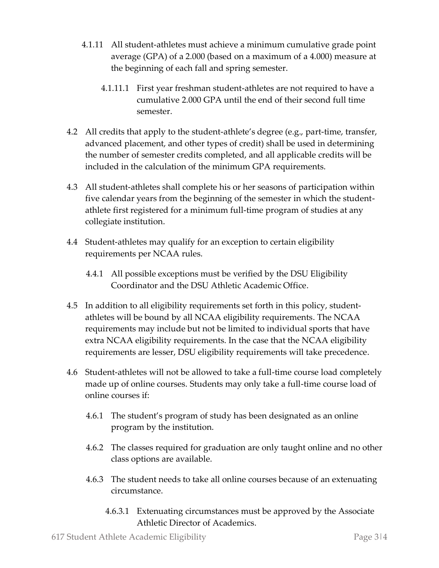- 4.1.11 All student-athletes must achieve a minimum cumulative grade point average (GPA) of a 2.000 (based on a maximum of a 4.000) measure at the beginning of each fall and spring semester.
	- 4.1.11.1 First year freshman student-athletes are not required to have a cumulative 2.000 GPA until the end of their second full time semester.
- 4.2 All credits that apply to the student-athlete's degree (e.g., part-time, transfer, advanced placement, and other types of credit) shall be used in determining the number of semester credits completed, and all applicable credits will be included in the calculation of the minimum GPA requirements.
- 4.3 All student-athletes shall complete his or her seasons of participation within five calendar years from the beginning of the semester in which the studentathlete first registered for a minimum full-time program of studies at any collegiate institution.
- 4.4 Student-athletes may qualify for an exception to certain eligibility requirements per NCAA rules.
	- 4.4.1 All possible exceptions must be verified by the DSU Eligibility Coordinator and the DSU Athletic Academic Office.
- 4.5 In addition to all eligibility requirements set forth in this policy, studentathletes will be bound by all NCAA eligibility requirements. The NCAA requirements may include but not be limited to individual sports that have extra NCAA eligibility requirements. In the case that the NCAA eligibility requirements are lesser, DSU eligibility requirements will take precedence.
- 4.6 Student-athletes will not be allowed to take a full-time course load completely made up of online courses. Students may only take a full-time course load of online courses if:
	- 4.6.1 The student's program of study has been designated as an online program by the institution.
	- 4.6.2 The classes required for graduation are only taught online and no other class options are available.
	- 4.6.3 The student needs to take all online courses because of an extenuating circumstance.
		- 4.6.3.1 Extenuating circumstances must be approved by the Associate Athletic Director of Academics.